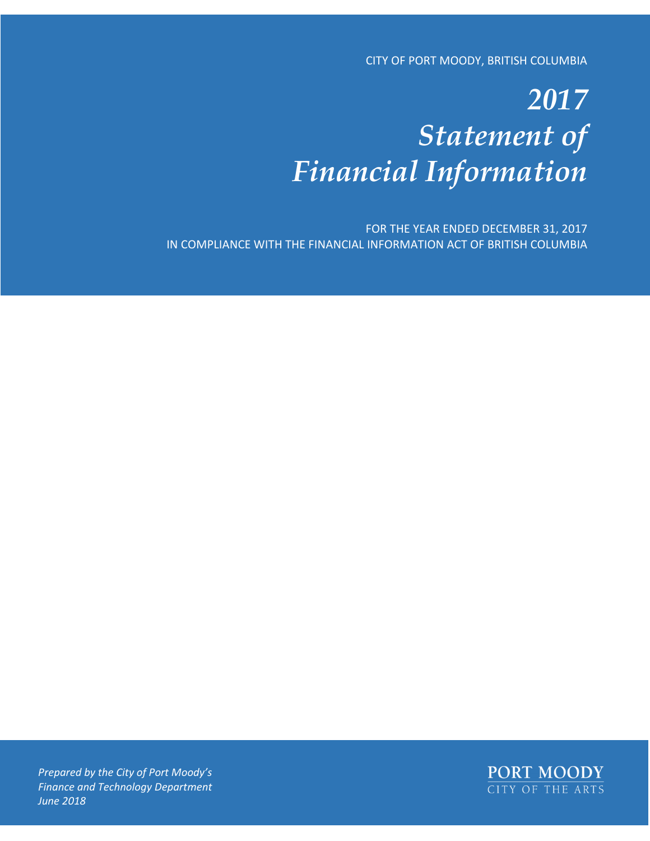CITY OF PORT MOODY, BRITISH COLUMBIA

# *2017 Statement of Financial Information*

FOR THE YEAR ENDED DECEMBER 31, 2017 IN COMPLIANCE WITH THE FINANCIAL INFORMATION ACT OF BRITISH COLUMBIA



*Prepared by the City of Port Moody's Finance and Technology Department June 2018*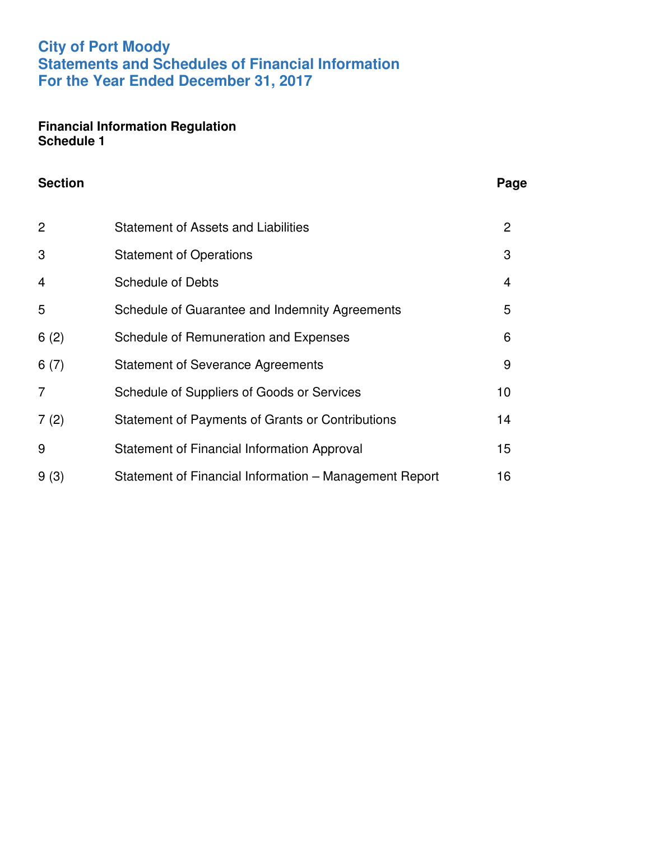#### **City of Port Moody Statements and Schedules of Financial Information For the Year Ended December 31, 2017**

#### **Financial Information Regulation Schedule 1**

| <b>Section</b> |                                                        | Page           |
|----------------|--------------------------------------------------------|----------------|
| 2              | <b>Statement of Assets and Liabilities</b>             | $\overline{2}$ |
| 3              | <b>Statement of Operations</b>                         | 3              |
| $\overline{4}$ | <b>Schedule of Debts</b>                               | 4              |
| 5              | Schedule of Guarantee and Indemnity Agreements         | 5              |
| 6(2)           | Schedule of Remuneration and Expenses                  | 6              |
| 6(7)           | <b>Statement of Severance Agreements</b>               | 9              |
| 7              | Schedule of Suppliers of Goods or Services             | 10             |
| 7(2)           | Statement of Payments of Grants or Contributions       | 14             |
| 9              | <b>Statement of Financial Information Approval</b>     | 15             |
| 9(3)           | Statement of Financial Information - Management Report | 16             |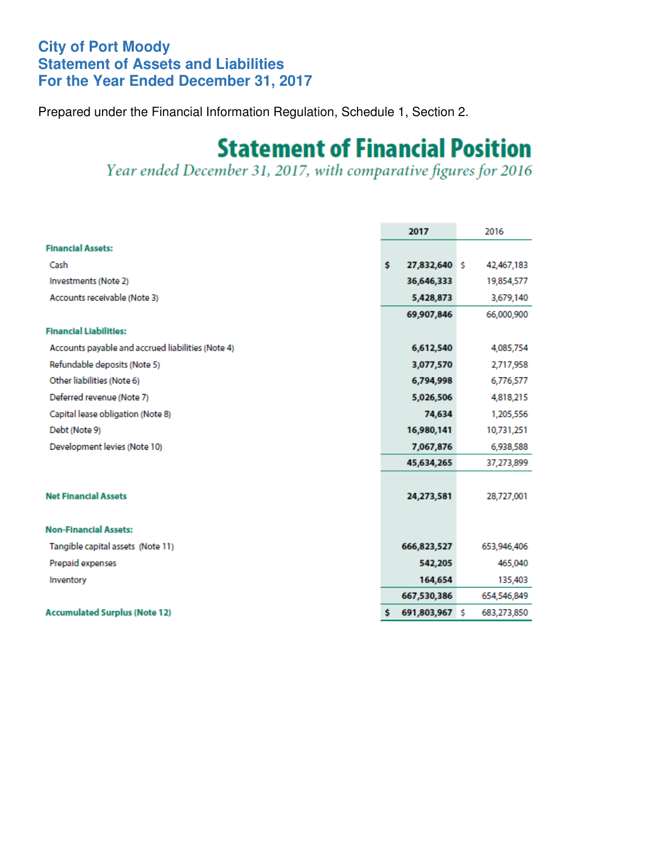#### **City of Port Moody Statement of Assets and Liabilities For the Year Ended December 31, 2017**

Prepared under the Financial Information Regulation, Schedule 1, Section 2.

## **Statement of Financial Position**

Year ended December 31, 2017, with comparative figures for 2016

|                                                   | 2017                 | 2016        |
|---------------------------------------------------|----------------------|-------------|
| <b>Financial Assets:</b>                          |                      |             |
| Cash                                              | \$<br>27,832,640 \$  | 42,467,183  |
| Investments (Note 2)                              | 36,646,333           | 19,854,577  |
| Accounts receivable (Note 3)                      | 5,428,873            | 3,679,140   |
|                                                   | 69,907,846           | 66,000,900  |
| <b>Financial Liabilities:</b>                     |                      |             |
| Accounts payable and accrued liabilities (Note 4) | 6,612,540            | 4,085,754   |
| Refundable deposits (Note 5)                      | 3,077,570            | 2,717,958   |
| Other liabilities (Note 6)                        | 6,794,998            | 6,776,577   |
| Deferred revenue (Note 7)                         | 5,026,506            | 4,818,215   |
| Capital lease obligation (Note 8)                 | 74,634               | 1,205,556   |
| Debt (Note 9)                                     | 16,980,141           | 10,731,251  |
| Development levies (Note 10)                      | 7,067,876            | 6,938,588   |
|                                                   | 45,634,265           | 37,273,899  |
| <b>Net Financial Assets</b>                       | 24,273,581           | 28,727,001  |
| <b>Non-Financial Assets:</b>                      |                      |             |
| Tangible capital assets (Note 11)                 | 666,823,527          | 653,946,406 |
| Prepaid expenses                                  | 542,205              | 465,040     |
| Inventory                                         | 164,654              | 135,403     |
|                                                   | 667,530,386          | 654,546,849 |
| <b>Accumulated Surplus (Note 12)</b>              | \$<br>691,803,967 \$ | 683,273,850 |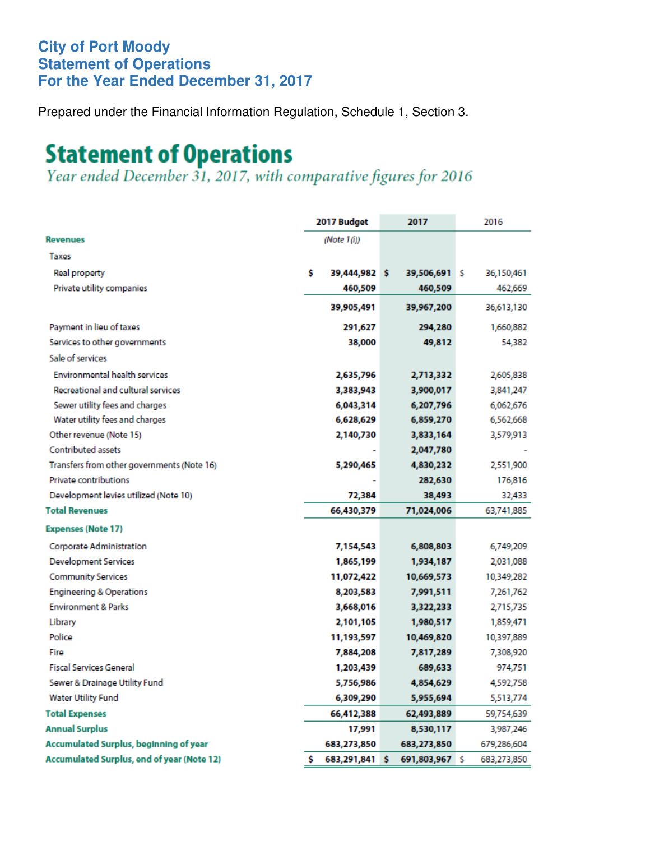#### **City of Port Moody Statement of Operations For the Year Ended December 31, 2017**

Prepared under the Financial Information Regulation, Schedule 1, Section 3.

### **Statement of Operations**

Year ended December 31, 2017, with comparative figures for 2016

|                                            | 2017 Budget             | 2017           | 2016 |             |
|--------------------------------------------|-------------------------|----------------|------|-------------|
| <b>Revenues</b>                            | (Note 1(i))             |                |      |             |
| Taxes                                      |                         |                |      |             |
| Real property                              | \$<br>39,444,982 \$     | 39,506,691 \$  |      | 36,150,461  |
| Private utility companies                  | 460,509                 | 460,509        |      | 462,669     |
|                                            | 39,905,491              | 39,967,200     |      | 36,613,130  |
| Payment in lieu of taxes                   | 291,627                 | 294,280        |      | 1,660,882   |
| Services to other governments              | 38,000                  | 49,812         |      | 54,382      |
| Sale of services                           |                         |                |      |             |
| <b>Environmental health services</b>       | 2,635,796               | 2,713,332      |      | 2,605,838   |
| Recreational and cultural services         | 3,383,943               | 3,900,017      |      | 3,841,247   |
| Sewer utility fees and charges             | 6,043,314               | 6,207,796      |      | 6,062,676   |
| Water utility fees and charges             | 6,628,629               | 6,859,270      |      | 6,562,668   |
| Other revenue (Note 15)                    | 2,140,730               | 3,833,164      |      | 3,579,913   |
| Contributed assets                         |                         | 2,047,780      |      |             |
| Transfers from other governments (Note 16) | 5,290,465               | 4,830,232      |      | 2,551,900   |
| <b>Private contributions</b>               |                         | 282,630        |      | 176,816     |
| Development levies utilized (Note 10)      | 72,384                  | 38,493         |      | 32,433      |
| <b>Total Revenues</b>                      | 66,430,379              | 71,024,006     |      | 63,741,885  |
| <b>Expenses (Note 17)</b>                  |                         |                |      |             |
| Corporate Administration                   | 7,154,543               | 6,808,803      |      | 6,749,209   |
| <b>Development Services</b>                | 1,865,199               | 1,934,187      |      | 2,031,088   |
| <b>Community Services</b>                  | 11,072,422              | 10,669,573     |      | 10,349,282  |
| <b>Engineering &amp; Operations</b>        | 8,203,583               | 7,991,511      |      | 7,261,762   |
| <b>Environment &amp; Parks</b>             | 3,668,016               | 3,322,233      |      | 2,715,735   |
| Library                                    | 2,101,105               | 1,980,517      |      | 1,859,471   |
| Police                                     | 11,193,597              | 10,469,820     |      | 10,397,889  |
| Fire                                       | 7,884,208               | 7,817,289      |      | 7,308,920   |
| <b>Fiscal Services General</b>             | 1,203,439               | 689,633        |      | 974,751     |
| Sewer & Drainage Utility Fund              | 5,756,986               | 4,854,629      |      | 4,592,758   |
| <b>Water Utility Fund</b>                  | 6,309,290               | 5,955,694      |      | 5,513,774   |
| <b>Total Expenses</b>                      | 66,412,388              | 62,493,889     |      | 59,754,639  |
| <b>Annual Surplus</b>                      | 17,991                  | 8,530,117      |      | 3,987,246   |
| Accumulated Surplus, beginning of year     | 683,273,850             | 683,273,850    |      | 679,286,604 |
| Accumulated Surplus, end of year (Note 12) | \$<br>683,291,841<br>\$ | 691,803,967 \$ |      | 683,273,850 |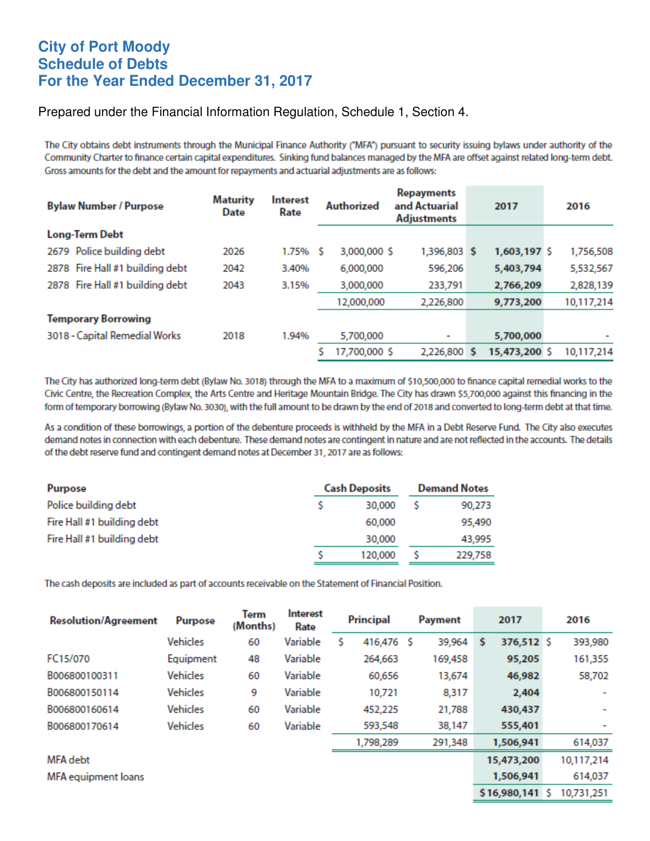#### **City of Port Moody Schedule of Debts For the Year Ended December 31, 2017**

#### Prepared under the Financial Information Regulation, Schedule 1, Section 4.

The City obtains debt instruments through the Municipal Finance Authority ("MFA") pursuant to security issuing bylaws under authority of the Community Charter to finance certain capital expenditures. Sinking fund balances managed by the MFA are offset against related long-term debt. Gross amounts for the debt and the amount for repayments and actuarial adjustments are as follows:

| <b>Bylaw Number / Purpose</b>   | <b>Maturity</b><br>Date | <b>Interest</b><br>Rate | <b>Authorized</b> | <b>Repayments</b><br>and Actuarial<br><b>Adjustments</b> | 2017          | 2016       |
|---------------------------------|-------------------------|-------------------------|-------------------|----------------------------------------------------------|---------------|------------|
| <b>Long-Term Debt</b>           |                         |                         |                   |                                                          |               |            |
| 2679 Police building debt       | 2026                    | 1.75%                   | 3,000,000 \$<br>s | 1,396,803 \$                                             | 1,603,197 \$  | 1,756,508  |
| 2878 Fire Hall #1 building debt | 2042                    | 3.40%                   | 6,000,000         | 596,206                                                  | 5,403,794     | 5,532,567  |
| 2878 Fire Hall #1 building debt | 2043                    | 3.15%                   | 3,000,000         | 233,791                                                  | 2,766,209     | 2,828,139  |
|                                 |                         |                         | 12,000,000        | 2,226,800                                                | 9,773,200     | 10,117,214 |
| <b>Temporary Borrowing</b>      |                         |                         |                   |                                                          |               |            |
| 3018 - Capital Remedial Works   | 2018                    | 1.94%                   | 5.700.000         | ٠                                                        | 5,700,000     |            |
|                                 |                         |                         | 17,700,000 \$     | 2,226,800 \$                                             | 15,473,200 \$ | 10,117,214 |

The City has authorized long-term debt (Bylaw No. 3018) through the MFA to a maximum of \$10,500,000 to finance capital remedial works to the Civic Centre, the Recreation Complex, the Arts Centre and Heritage Mountain Bridge. The City has drawn \$5,700,000 against this financing in the form of temporary borrowing (Bylaw No. 3030), with the full amount to be drawn by the end of 2018 and converted to long-term debt at that time.

As a condition of these borrowings, a portion of the debenture proceeds is withheld by the MFA in a Debt Reserve Fund. The City also executes demand notes in connection with each debenture. These demand notes are contingent in nature and are not reflected in the accounts. The details of the debt reserve fund and contingent demand notes at December 31, 2017 are as follows:

| Purpose                    |  | <b>Cash Deposits</b> | <b>Demand Notes</b> |         |  |
|----------------------------|--|----------------------|---------------------|---------|--|
| Police building debt       |  | 30,000               |                     | 90,273  |  |
| Fire Hall #1 building debt |  | 60,000               |                     | 95,490  |  |
| Fire Hall #1 building debt |  | 30,000               |                     | 43,995  |  |
|                            |  | 120,000              |                     | 229,758 |  |

The cash deposits are included as part of accounts receivable on the Statement of Financial Position.

| <b>Resolution/Agreement</b> | Purpose         | Term<br>(Months) | <b>Interest</b><br>Rate | Principal  | Payment |   | 2017         |   | 2016       |
|-----------------------------|-----------------|------------------|-------------------------|------------|---------|---|--------------|---|------------|
|                             | <b>Vehicles</b> | 60               | Variable                | 416,476 \$ | 39,964  | s | 376,512 \$   |   | 393,980    |
| FC15/070                    | Equipment       | 48               | Variable                | 264,663    | 169,458 |   | 95,205       |   | 161,355    |
| B006800100311               | <b>Vehicles</b> | 60               | Variable                | 60,656     | 13,674  |   | 46,982       |   | 58,702     |
| B006800150114               | <b>Vehicles</b> | 9                | Variable                | 10,721     | 8,317   |   | 2,404        |   |            |
| B006800160614               | <b>Vehicles</b> | 60               | Variable                | 452,225    | 21,788  |   | 430,437      |   | ٠          |
| B006800170614               | <b>Vehicles</b> | 60               | Variable                | 593,548    | 38,147  |   | 555,401      |   | ۰          |
|                             |                 |                  |                         | 1,798,289  | 291,348 |   | 1,506,941    |   | 614,037    |
| MFA debt                    |                 |                  |                         |            |         |   | 15,473,200   |   | 10,117,214 |
| MFA equipment loans         |                 |                  |                         |            |         |   | 1,506,941    |   | 614,037    |
|                             |                 |                  |                         |            |         |   | \$16,980,141 | s | 10.731.251 |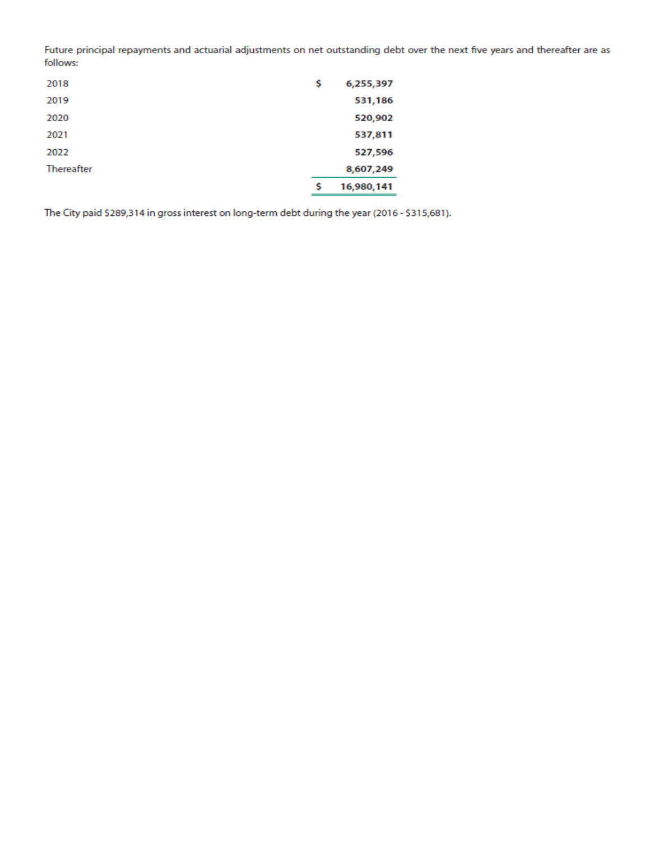Future principal repayments and actuarial adjustments on net outstanding debt over the next five years and thereafter are as follows:

| 2018       | \$ | 6,255,397  |
|------------|----|------------|
| 2019       |    | 531,186    |
| 2020       |    | 520,902    |
| 2021       |    | 537,811    |
| 2022       |    | 527,596    |
| Thereafter |    | 8,607,249  |
|            | S  | 16,980,141 |

The City paid \$289,314 in gross interest on long-term debt during the year (2016 - \$315,681).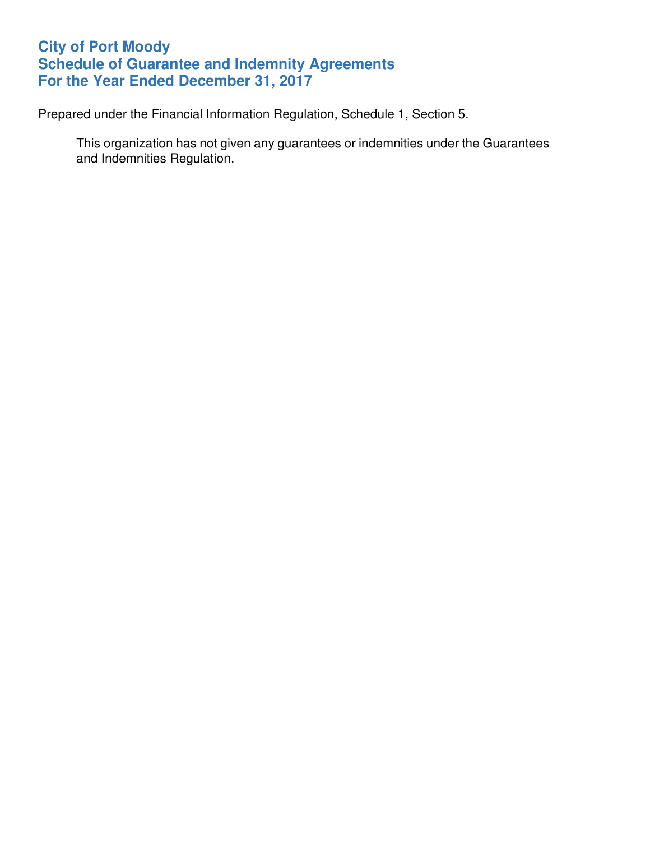#### **City of Port Moody Schedule of Guarantee and Indemnity Agreements For the Year Ended December 31, 2017**

Prepared under the Financial Information Regulation, Schedule 1, Section 5.

This organization has not given any guarantees or indemnities under the Guarantees and Indemnities Regulation.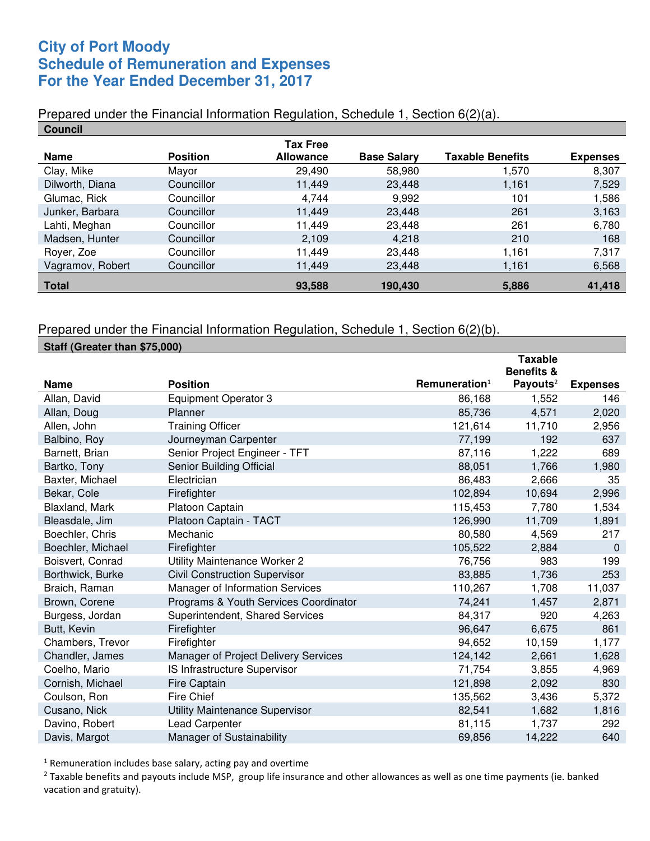#### **City of Port Moody Schedule of Remuneration and Expenses For the Year Ended December 31, 2017**

#### Prepared under the Financial Information Regulation, Schedule 1, Section 6(2)(a).

| <b>Council</b>   |                 |                                     |                    |                         |                 |
|------------------|-----------------|-------------------------------------|--------------------|-------------------------|-----------------|
| Name             | <b>Position</b> | <b>Tax Free</b><br><b>Allowance</b> | <b>Base Salary</b> | <b>Taxable Benefits</b> | <b>Expenses</b> |
| Clay, Mike       | Mayor           | 29,490                              | 58,980             | 1,570                   | 8,307           |
| Dilworth, Diana  | Councillor      | 11,449                              | 23,448             | 1,161                   | 7,529           |
| Glumac, Rick     | Councillor      | 4.744                               | 9,992              | 101                     | 1,586           |
| Junker, Barbara  | Councillor      | 11,449                              | 23,448             | 261                     | 3,163           |
| Lahti, Meghan    | Councillor      | 11,449                              | 23,448             | 261                     | 6,780           |
| Madsen, Hunter   | Councillor      | 2,109                               | 4,218              | 210                     | 168             |
| Royer, Zoe       | Councillor      | 11,449                              | 23,448             | 1,161                   | 7,317           |
| Vagramov, Robert | Councillor      | 11,449                              | 23,448             | 1,161                   | 6,568           |
| <b>Total</b>     |                 | 93,588                              | 190,430            | 5,886                   | 41,418          |

#### Prepared under the Financial Information Regulation, Schedule 1, Section 6(2)(b). **Staff (Greater than \$75,000)**

| Jian (Greater than 975,000) |                                       |                           |                                         |                 |
|-----------------------------|---------------------------------------|---------------------------|-----------------------------------------|-----------------|
|                             |                                       |                           | <b>Taxable</b><br><b>Benefits &amp;</b> |                 |
| <b>Name</b>                 | <b>Position</b>                       | Remuneration <sup>1</sup> | Payouts <sup>2</sup>                    | <b>Expenses</b> |
| Allan, David                | <b>Equipment Operator 3</b>           | 86,168                    | 1,552                                   | 146             |
| Allan, Doug                 | Planner                               | 85,736                    | 4,571                                   | 2,020           |
| Allen, John                 | <b>Training Officer</b>               | 121,614                   | 11,710                                  | 2,956           |
| Balbino, Roy                | Journeyman Carpenter                  | 77,199                    | 192                                     | 637             |
| Barnett, Brian              | Senior Project Engineer - TFT         | 87,116                    | 1,222                                   | 689             |
| Bartko, Tony                | Senior Building Official              | 88,051                    | 1,766                                   | 1,980           |
| Baxter, Michael             | Electrician                           | 86,483                    | 2,666                                   | 35              |
| Bekar, Cole                 | Firefighter                           | 102,894                   | 10,694                                  | 2,996           |
| Blaxland, Mark              | Platoon Captain                       | 115,453                   | 7,780                                   | 1,534           |
| Bleasdale, Jim              | Platoon Captain - TACT                | 126,990                   | 11,709                                  | 1,891           |
| Boechler, Chris             | Mechanic                              | 80,580                    | 4,569                                   | 217             |
| Boechler, Michael           | Firefighter                           | 105,522                   | 2,884                                   | $\mathbf 0$     |
| Boisvert, Conrad            | Utility Maintenance Worker 2          | 76,756                    | 983                                     | 199             |
| Borthwick, Burke            | <b>Civil Construction Supervisor</b>  | 83,885                    | 1,736                                   | 253             |
| Braich, Raman               | Manager of Information Services       | 110,267                   | 1,708                                   | 11,037          |
| Brown, Corene               | Programs & Youth Services Coordinator | 74,241                    | 1,457                                   | 2,871           |
| Burgess, Jordan             | Superintendent, Shared Services       | 84,317                    | 920                                     | 4,263           |
| Butt, Kevin                 | Firefighter                           | 96,647                    | 6,675                                   | 861             |
| Chambers, Trevor            | Firefighter                           | 94,652                    | 10,159                                  | 1,177           |
| Chandler, James             | Manager of Project Delivery Services  | 124,142                   | 2,661                                   | 1,628           |
| Coelho, Mario               | IS Infrastructure Supervisor          | 71,754                    | 3,855                                   | 4,969           |
| Cornish, Michael            | <b>Fire Captain</b>                   | 121,898                   | 2,092                                   | 830             |
| Coulson, Ron                | <b>Fire Chief</b>                     | 135,562                   | 3,436                                   | 5,372           |
| Cusano, Nick                | Utility Maintenance Supervisor        | 82,541                    | 1,682                                   | 1,816           |
| Davino, Robert              | Lead Carpenter                        | 81,115                    | 1,737                                   | 292             |
| Davis, Margot               | Manager of Sustainability             | 69,856                    | 14,222                                  | 640             |

 $1$  Remuneration includes base salary, acting pay and overtime

 $2$  Taxable benefits and payouts include MSP, group life insurance and other allowances as well as one time payments (ie. banked vacation and gratuity).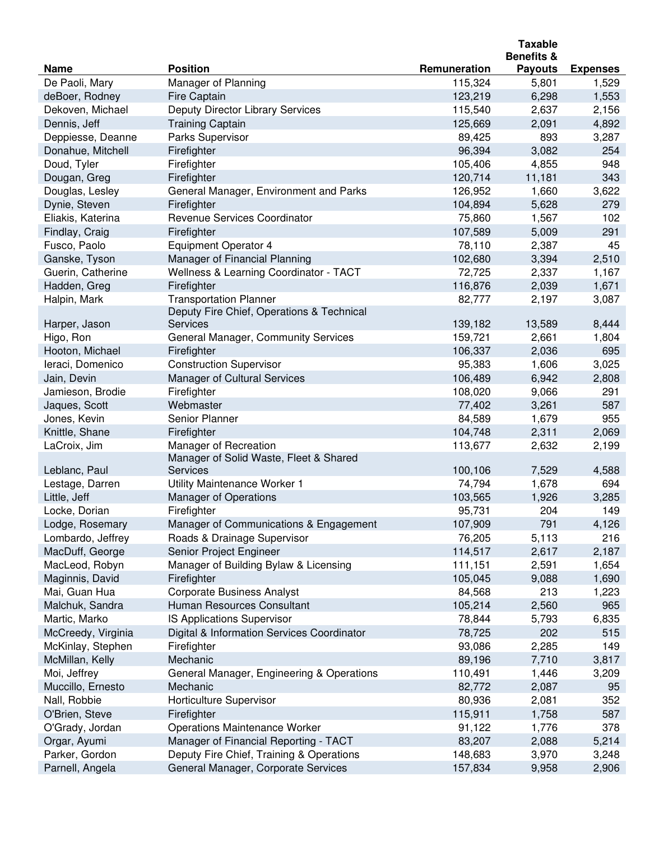|                    |                                            |              | <b>Taxable</b><br><b>Benefits &amp;</b> |                 |
|--------------------|--------------------------------------------|--------------|-----------------------------------------|-----------------|
| <b>Name</b>        | <b>Position</b>                            | Remuneration | <b>Payouts</b>                          | <b>Expenses</b> |
| De Paoli, Mary     | Manager of Planning                        | 115,324      | 5,801                                   | 1,529           |
| deBoer, Rodney     | Fire Captain                               | 123,219      | 6,298                                   | 1,553           |
| Dekoven, Michael   | Deputy Director Library Services           | 115,540      | 2,637                                   | 2,156           |
| Dennis, Jeff       | <b>Training Captain</b>                    | 125,669      | 2,091                                   | 4,892           |
| Deppiesse, Deanne  | Parks Supervisor                           | 89,425       | 893                                     | 3,287           |
| Donahue, Mitchell  | Firefighter                                | 96,394       | 3,082                                   | 254             |
| Doud, Tyler        | Firefighter                                | 105,406      | 4,855                                   | 948             |
| Dougan, Greg       | Firefighter                                | 120,714      | 11,181                                  | 343             |
| Douglas, Lesley    | General Manager, Environment and Parks     | 126,952      | 1,660                                   | 3,622           |
| Dynie, Steven      | Firefighter                                | 104,894      | 5,628                                   | 279             |
| Eliakis, Katerina  | Revenue Services Coordinator               | 75,860       | 1,567                                   | 102             |
| Findlay, Craig     | Firefighter                                | 107,589      | 5,009                                   | 291             |
| Fusco, Paolo       | <b>Equipment Operator 4</b>                | 78,110       | 2,387                                   | 45              |
| Ganske, Tyson      | Manager of Financial Planning              | 102,680      | 3,394                                   | 2,510           |
| Guerin, Catherine  | Wellness & Learning Coordinator - TACT     | 72,725       | 2,337                                   | 1,167           |
| Hadden, Greg       | Firefighter                                | 116,876      | 2,039                                   | 1,671           |
| Halpin, Mark       | <b>Transportation Planner</b>              | 82,777       | 2,197                                   | 3,087           |
|                    | Deputy Fire Chief, Operations & Technical  |              |                                         |                 |
| Harper, Jason      | <b>Services</b>                            | 139,182      | 13,589                                  | 8,444           |
| Higo, Ron          | General Manager, Community Services        | 159,721      | 2,661                                   | 1,804           |
| Hooton, Michael    | Firefighter                                | 106,337      | 2,036                                   | 695             |
| leraci, Domenico   | <b>Construction Supervisor</b>             | 95,383       | 1,606                                   | 3,025           |
| Jain, Devin        | Manager of Cultural Services               | 106,489      | 6,942                                   | 2,808           |
| Jamieson, Brodie   | Firefighter                                | 108,020      | 9,066                                   | 291             |
| Jaques, Scott      | Webmaster                                  | 77,402       | 3,261                                   | 587             |
| Jones, Kevin       | Senior Planner                             | 84,589       | 1,679                                   | 955             |
| Knittle, Shane     | Firefighter                                | 104,748      | 2,311                                   | 2,069           |
| LaCroix, Jim       | Manager of Recreation                      | 113,677      | 2,632                                   | 2,199           |
|                    | Manager of Solid Waste, Fleet & Shared     |              |                                         |                 |
| Leblanc, Paul      | <b>Services</b>                            | 100,106      | 7,529                                   | 4,588           |
| Lestage, Darren    | Utility Maintenance Worker 1               | 74,794       | 1,678                                   | 694             |
| Little, Jeff       | <b>Manager of Operations</b>               | 103,565      | 1,926                                   | 3,285           |
| Locke, Dorian      | Firefighter                                | 95,731       | 204                                     | 149             |
| Lodge, Rosemary    | Manager of Communications & Engagement     | 107,909      | 791                                     | 4,126           |
| Lombardo, Jeffrey  | Roads & Drainage Supervisor                | 76,205       | 5,113                                   | 216             |
| MacDuff, George    | Senior Project Engineer                    | 114,517      | 2,617                                   | 2,187           |
| MacLeod, Robyn     | Manager of Building Bylaw & Licensing      | 111,151      | 2,591                                   | 1,654           |
| Maginnis, David    | Firefighter                                | 105,045      | 9,088                                   | 1,690           |
| Mai, Guan Hua      | <b>Corporate Business Analyst</b>          | 84,568       | 213                                     | 1,223           |
| Malchuk, Sandra    | Human Resources Consultant                 | 105,214      | 2,560                                   | 965             |
| Martic, Marko      | IS Applications Supervisor                 | 78,844       | 5,793                                   | 6,835           |
| McCreedy, Virginia | Digital & Information Services Coordinator | 78,725       | 202                                     | 515             |
| McKinlay, Stephen  | Firefighter                                | 93,086       | 2,285                                   | 149             |
| McMillan, Kelly    | Mechanic                                   | 89,196       | 7,710                                   | 3,817           |
| Moi, Jeffrey       | General Manager, Engineering & Operations  | 110,491      | 1,446                                   | 3,209           |
| Muccillo, Ernesto  | Mechanic                                   | 82,772       | 2,087                                   | 95              |
| Nall, Robbie       | Horticulture Supervisor                    | 80,936       | 2,081                                   | 352             |
| O'Brien, Steve     | Firefighter                                | 115,911      | 1,758                                   | 587             |
| O'Grady, Jordan    | <b>Operations Maintenance Worker</b>       | 91,122       | 1,776                                   | 378             |
| Orgar, Ayumi       | Manager of Financial Reporting - TACT      | 83,207       | 2,088                                   | 5,214           |
| Parker, Gordon     | Deputy Fire Chief, Training & Operations   | 148,683      | 3,970                                   | 3,248           |
| Parnell, Angela    | General Manager, Corporate Services        | 157,834      | 9,958                                   | 2,906           |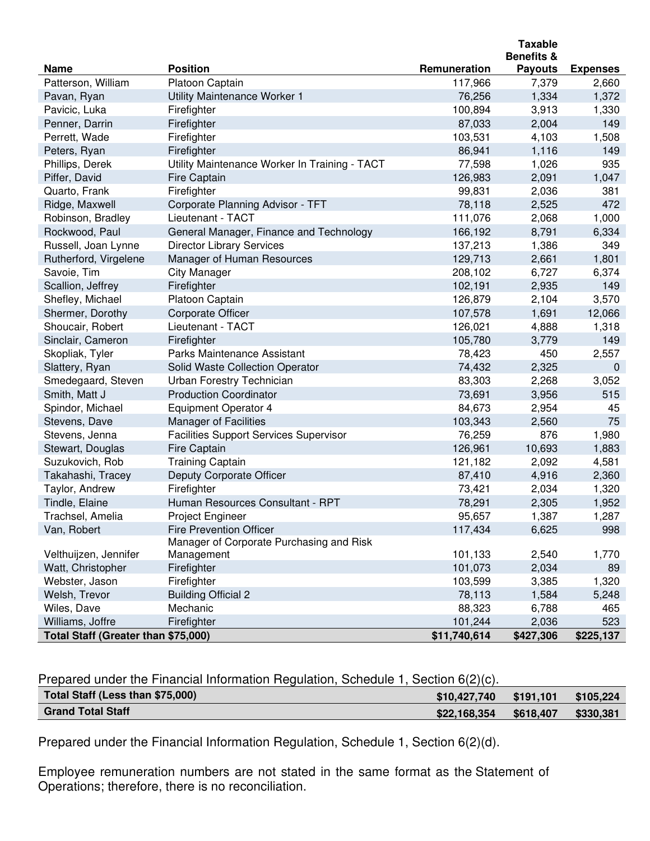|                                     |                                               |              | <b>Taxable</b>        |                 |
|-------------------------------------|-----------------------------------------------|--------------|-----------------------|-----------------|
|                                     |                                               |              | <b>Benefits &amp;</b> |                 |
| <b>Name</b>                         | <b>Position</b>                               | Remuneration | <b>Payouts</b>        | <b>Expenses</b> |
| Patterson, William                  | Platoon Captain                               | 117,966      | 7,379                 | 2,660           |
| Pavan, Ryan                         | Utility Maintenance Worker 1                  | 76,256       | 1,334                 | 1,372           |
| Pavicic, Luka                       | Firefighter                                   | 100,894      | 3,913                 | 1,330           |
| Penner, Darrin                      | Firefighter                                   | 87,033       | 2,004                 | 149             |
| Perrett, Wade                       | Firefighter                                   | 103,531      | 4,103                 | 1,508           |
| Peters, Ryan                        | Firefighter                                   | 86,941       | 1,116                 | 149             |
| Phillips, Derek                     | Utility Maintenance Worker In Training - TACT | 77,598       | 1,026                 | 935             |
| Piffer, David                       | <b>Fire Captain</b>                           | 126,983      | 2,091                 | 1,047           |
| Quarto, Frank                       | Firefighter                                   | 99,831       | 2,036                 | 381             |
| Ridge, Maxwell                      | Corporate Planning Advisor - TFT              | 78,118       | 2,525                 | 472             |
| Robinson, Bradley                   | Lieutenant - TACT                             | 111,076      | 2,068                 | 1,000           |
| Rockwood, Paul                      | General Manager, Finance and Technology       | 166,192      | 8,791                 | 6,334           |
| Russell, Joan Lynne                 | <b>Director Library Services</b>              | 137,213      | 1,386                 | 349             |
| Rutherford, Virgelene               | Manager of Human Resources                    | 129,713      | 2,661                 | 1,801           |
| Savoie, Tim                         | <b>City Manager</b>                           | 208,102      | 6,727                 | 6,374           |
| Scallion, Jeffrey                   | Firefighter                                   | 102,191      | 2,935                 | 149             |
| Shefley, Michael                    | Platoon Captain                               | 126,879      | 2,104                 | 3,570           |
| Shermer, Dorothy                    | <b>Corporate Officer</b>                      | 107,578      | 1,691                 | 12,066          |
| Shoucair, Robert                    | Lieutenant - TACT                             | 126,021      | 4,888                 | 1,318           |
| Sinclair, Cameron                   | Firefighter                                   | 105,780      | 3,779                 | 149             |
| Skopliak, Tyler                     | Parks Maintenance Assistant                   | 78,423       | 450                   | 2,557           |
| Slattery, Ryan                      | Solid Waste Collection Operator               | 74,432       | 2,325                 | $\mathbf 0$     |
| Smedegaard, Steven                  | Urban Forestry Technician                     | 83,303       | 2,268                 | 3,052           |
| Smith, Matt J                       | <b>Production Coordinator</b>                 | 73,691       | 3,956                 | 515             |
| Spindor, Michael                    | <b>Equipment Operator 4</b>                   | 84,673       | 2,954                 | 45              |
| Stevens, Dave                       | <b>Manager of Facilities</b>                  | 103,343      | 2,560                 | 75              |
| Stevens, Jenna                      | <b>Facilities Support Services Supervisor</b> | 76,259       | 876                   | 1,980           |
| Stewart, Douglas                    | <b>Fire Captain</b>                           | 126,961      | 10,693                | 1,883           |
| Suzukovich, Rob                     | <b>Training Captain</b>                       | 121,182      | 2,092                 | 4,581           |
| Takahashi, Tracey                   | Deputy Corporate Officer                      | 87,410       | 4,916                 | 2,360           |
| Taylor, Andrew                      | Firefighter                                   | 73,421       | 2,034                 | 1,320           |
| Tindle, Elaine                      | Human Resources Consultant - RPT              | 78,291       | 2,305                 | 1,952           |
| Trachsel, Amelia                    | Project Engineer                              | 95,657       | 1,387                 | 1,287           |
| Van, Robert                         | <b>Fire Prevention Officer</b>                | 117,434      | 6,625                 | 998             |
|                                     | Manager of Corporate Purchasing and Risk      |              |                       |                 |
| Velthuijzen, Jennifer               | Management                                    | 101,133      | 2,540                 | 1,770           |
| Watt, Christopher                   | Firefighter                                   | 101,073      | 2,034                 | 89              |
| Webster, Jason                      | Firefighter                                   | 103,599      | 3,385                 | 1,320           |
| Welsh, Trevor                       | <b>Building Official 2</b>                    | 78,113       | 1,584                 | 5,248           |
| Wiles, Dave                         | Mechanic                                      | 88,323       | 6,788                 | 465             |
| Williams, Joffre                    | Firefighter                                   | 101,244      | 2,036                 | 523             |
| Total Staff (Greater than \$75,000) |                                               | \$11,740,614 | \$427,306             | \$225,137       |

Prepared under the Financial Information Regulation, Schedule 1, Section 6(2)(c).

| Total Staff (Less than \$75,000) | \$10,427,740 | \$191.101 | \$105.224 |
|----------------------------------|--------------|-----------|-----------|
| <b>Grand Total Staff</b>         | \$22,168,354 | \$618.407 | \$330,381 |

Prepared under the Financial Information Regulation, Schedule 1, Section 6(2)(d).

Employee remuneration numbers are not stated in the same format as the Statement of Operations; therefore, there is no reconciliation.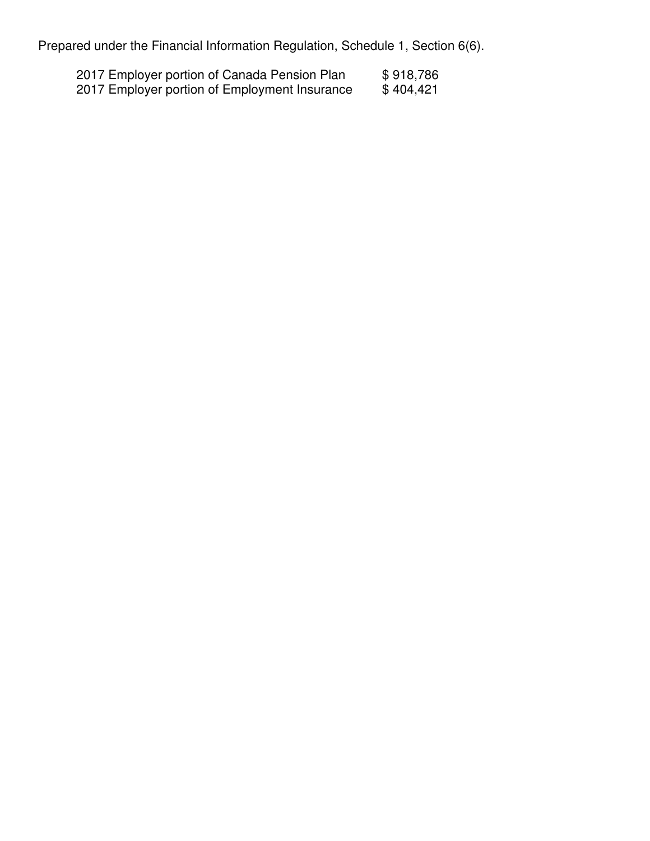Prepared under the Financial Information Regulation, Schedule 1, Section 6(6).

| 2017 Employer portion of Canada Pension Plan  | \$918,786 |
|-----------------------------------------------|-----------|
| 2017 Employer portion of Employment Insurance | \$404,421 |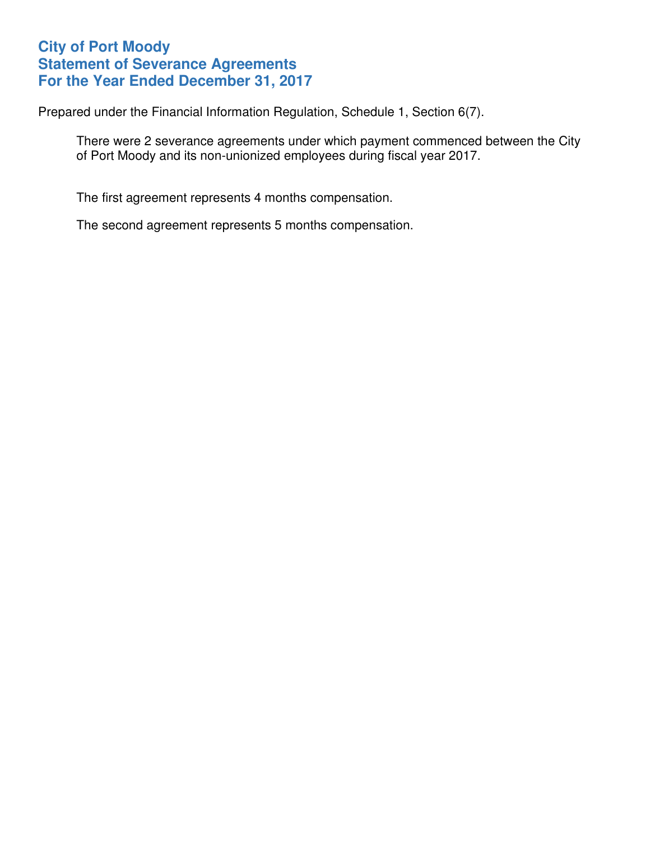#### **City of Port Moody Statement of Severance Agreements For the Year Ended December 31, 2017**

Prepared under the Financial Information Regulation, Schedule 1, Section 6(7).

There were 2 severance agreements under which payment commenced between the City of Port Moody and its non-unionized employees during fiscal year 2017.

The first agreement represents 4 months compensation.

The second agreement represents 5 months compensation.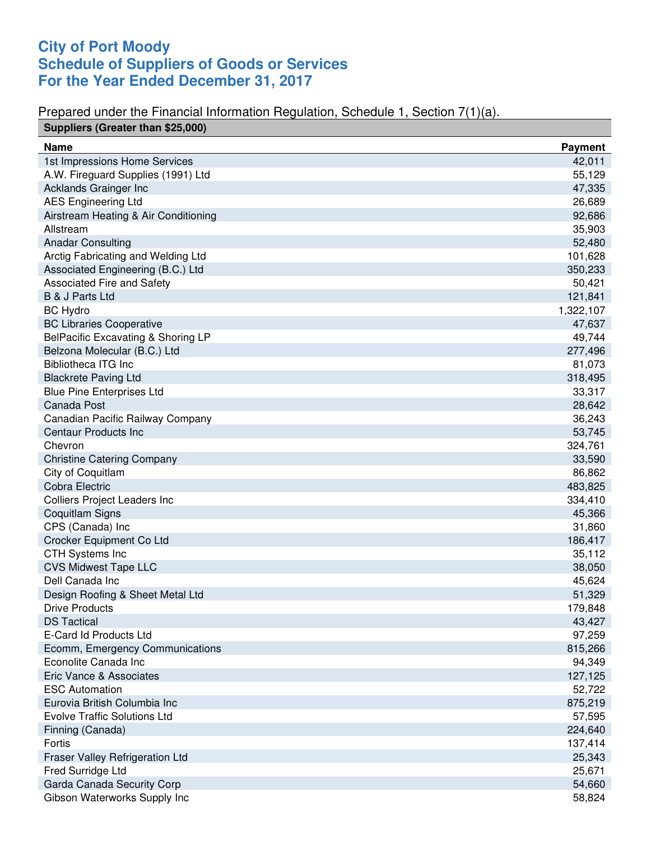#### **City of Port Moody Schedule of Suppliers of Goods or Services For the Year Ended December 31, 2017**

#### Prepared under the Financial Information Regulation, Schedule 1, Section 7(1)(a).

| <b>Name</b><br><b>Payment</b><br>1st Impressions Home Services<br>42,011<br>A.W. Fireguard Supplies (1991) Ltd<br>55,129<br><b>Acklands Grainger Inc</b><br>47,335<br><b>AES Engineering Ltd</b><br>26,689<br>Airstream Heating & Air Conditioning<br>92,686<br>Allstream<br>35,903<br><b>Anadar Consulting</b><br>52,480<br>Arctig Fabricating and Welding Ltd<br>101,628<br>Associated Engineering (B.C.) Ltd<br>350,233<br><b>Associated Fire and Safety</b><br>50,421<br>B & J Parts Ltd<br>121,841<br><b>BC Hydro</b><br>1,322,107<br><b>BC Libraries Cooperative</b><br>47,637<br>BelPacific Excavating & Shoring LP<br>49,744<br>Belzona Molecular (B.C.) Ltd<br>277,496<br><b>Bibliotheca ITG Inc</b><br>81,073<br><b>Blackrete Paving Ltd</b><br>318,495<br><b>Blue Pine Enterprises Ltd</b><br>33,317<br>Canada Post<br>28,642<br>36,243<br>Canadian Pacific Railway Company<br>53,745<br><b>Centaur Products Inc</b><br>Chevron<br>324,761<br><b>Christine Catering Company</b><br>33,590<br>City of Coquitlam<br>86,862<br>Cobra Electric<br>483,825<br><b>Colliers Project Leaders Inc</b><br>334,410<br><b>Coquitlam Signs</b><br>45,366<br>CPS (Canada) Inc<br>31,860<br>Crocker Equipment Co Ltd<br>186,417<br><b>CTH Systems Inc</b><br>35,112<br><b>CVS Midwest Tape LLC</b><br>38,050<br>Dell Canada Inc<br>45,624<br>Design Roofing & Sheet Metal Ltd<br>51,329<br>179,848<br><b>Drive Products</b><br><b>DS Tactical</b><br>43,427<br>E-Card Id Products Ltd<br>97,259<br>Ecomm, Emergency Communications<br>815,266<br>Econolite Canada Inc<br>94,349<br>Eric Vance & Associates<br>127,125<br><b>ESC Automation</b><br>52,722<br>Eurovia British Columbia Inc<br>875,219<br><b>Evolve Traffic Solutions Ltd</b><br>57,595<br>Finning (Canada)<br>224,640<br>Fortis<br>137,414<br>25,343<br>Fraser Valley Refrigeration Ltd<br>Fred Surridge Ltd<br>25,671<br>Garda Canada Security Corp<br>54,660<br>Gibson Waterworks Supply Inc<br>58,824 | Suppliers (Greater than \$25,000) |  |
|--------------------------------------------------------------------------------------------------------------------------------------------------------------------------------------------------------------------------------------------------------------------------------------------------------------------------------------------------------------------------------------------------------------------------------------------------------------------------------------------------------------------------------------------------------------------------------------------------------------------------------------------------------------------------------------------------------------------------------------------------------------------------------------------------------------------------------------------------------------------------------------------------------------------------------------------------------------------------------------------------------------------------------------------------------------------------------------------------------------------------------------------------------------------------------------------------------------------------------------------------------------------------------------------------------------------------------------------------------------------------------------------------------------------------------------------------------------------------------------------------------------------------------------------------------------------------------------------------------------------------------------------------------------------------------------------------------------------------------------------------------------------------------------------------------------------------------------------------------------------------------------------------------------------------------------------------------------------|-----------------------------------|--|
|                                                                                                                                                                                                                                                                                                                                                                                                                                                                                                                                                                                                                                                                                                                                                                                                                                                                                                                                                                                                                                                                                                                                                                                                                                                                                                                                                                                                                                                                                                                                                                                                                                                                                                                                                                                                                                                                                                                                                                    |                                   |  |
|                                                                                                                                                                                                                                                                                                                                                                                                                                                                                                                                                                                                                                                                                                                                                                                                                                                                                                                                                                                                                                                                                                                                                                                                                                                                                                                                                                                                                                                                                                                                                                                                                                                                                                                                                                                                                                                                                                                                                                    |                                   |  |
|                                                                                                                                                                                                                                                                                                                                                                                                                                                                                                                                                                                                                                                                                                                                                                                                                                                                                                                                                                                                                                                                                                                                                                                                                                                                                                                                                                                                                                                                                                                                                                                                                                                                                                                                                                                                                                                                                                                                                                    |                                   |  |
|                                                                                                                                                                                                                                                                                                                                                                                                                                                                                                                                                                                                                                                                                                                                                                                                                                                                                                                                                                                                                                                                                                                                                                                                                                                                                                                                                                                                                                                                                                                                                                                                                                                                                                                                                                                                                                                                                                                                                                    |                                   |  |
|                                                                                                                                                                                                                                                                                                                                                                                                                                                                                                                                                                                                                                                                                                                                                                                                                                                                                                                                                                                                                                                                                                                                                                                                                                                                                                                                                                                                                                                                                                                                                                                                                                                                                                                                                                                                                                                                                                                                                                    |                                   |  |
|                                                                                                                                                                                                                                                                                                                                                                                                                                                                                                                                                                                                                                                                                                                                                                                                                                                                                                                                                                                                                                                                                                                                                                                                                                                                                                                                                                                                                                                                                                                                                                                                                                                                                                                                                                                                                                                                                                                                                                    |                                   |  |
|                                                                                                                                                                                                                                                                                                                                                                                                                                                                                                                                                                                                                                                                                                                                                                                                                                                                                                                                                                                                                                                                                                                                                                                                                                                                                                                                                                                                                                                                                                                                                                                                                                                                                                                                                                                                                                                                                                                                                                    |                                   |  |
|                                                                                                                                                                                                                                                                                                                                                                                                                                                                                                                                                                                                                                                                                                                                                                                                                                                                                                                                                                                                                                                                                                                                                                                                                                                                                                                                                                                                                                                                                                                                                                                                                                                                                                                                                                                                                                                                                                                                                                    |                                   |  |
|                                                                                                                                                                                                                                                                                                                                                                                                                                                                                                                                                                                                                                                                                                                                                                                                                                                                                                                                                                                                                                                                                                                                                                                                                                                                                                                                                                                                                                                                                                                                                                                                                                                                                                                                                                                                                                                                                                                                                                    |                                   |  |
|                                                                                                                                                                                                                                                                                                                                                                                                                                                                                                                                                                                                                                                                                                                                                                                                                                                                                                                                                                                                                                                                                                                                                                                                                                                                                                                                                                                                                                                                                                                                                                                                                                                                                                                                                                                                                                                                                                                                                                    |                                   |  |
|                                                                                                                                                                                                                                                                                                                                                                                                                                                                                                                                                                                                                                                                                                                                                                                                                                                                                                                                                                                                                                                                                                                                                                                                                                                                                                                                                                                                                                                                                                                                                                                                                                                                                                                                                                                                                                                                                                                                                                    |                                   |  |
|                                                                                                                                                                                                                                                                                                                                                                                                                                                                                                                                                                                                                                                                                                                                                                                                                                                                                                                                                                                                                                                                                                                                                                                                                                                                                                                                                                                                                                                                                                                                                                                                                                                                                                                                                                                                                                                                                                                                                                    |                                   |  |
|                                                                                                                                                                                                                                                                                                                                                                                                                                                                                                                                                                                                                                                                                                                                                                                                                                                                                                                                                                                                                                                                                                                                                                                                                                                                                                                                                                                                                                                                                                                                                                                                                                                                                                                                                                                                                                                                                                                                                                    |                                   |  |
|                                                                                                                                                                                                                                                                                                                                                                                                                                                                                                                                                                                                                                                                                                                                                                                                                                                                                                                                                                                                                                                                                                                                                                                                                                                                                                                                                                                                                                                                                                                                                                                                                                                                                                                                                                                                                                                                                                                                                                    |                                   |  |
|                                                                                                                                                                                                                                                                                                                                                                                                                                                                                                                                                                                                                                                                                                                                                                                                                                                                                                                                                                                                                                                                                                                                                                                                                                                                                                                                                                                                                                                                                                                                                                                                                                                                                                                                                                                                                                                                                                                                                                    |                                   |  |
|                                                                                                                                                                                                                                                                                                                                                                                                                                                                                                                                                                                                                                                                                                                                                                                                                                                                                                                                                                                                                                                                                                                                                                                                                                                                                                                                                                                                                                                                                                                                                                                                                                                                                                                                                                                                                                                                                                                                                                    |                                   |  |
|                                                                                                                                                                                                                                                                                                                                                                                                                                                                                                                                                                                                                                                                                                                                                                                                                                                                                                                                                                                                                                                                                                                                                                                                                                                                                                                                                                                                                                                                                                                                                                                                                                                                                                                                                                                                                                                                                                                                                                    |                                   |  |
|                                                                                                                                                                                                                                                                                                                                                                                                                                                                                                                                                                                                                                                                                                                                                                                                                                                                                                                                                                                                                                                                                                                                                                                                                                                                                                                                                                                                                                                                                                                                                                                                                                                                                                                                                                                                                                                                                                                                                                    |                                   |  |
|                                                                                                                                                                                                                                                                                                                                                                                                                                                                                                                                                                                                                                                                                                                                                                                                                                                                                                                                                                                                                                                                                                                                                                                                                                                                                                                                                                                                                                                                                                                                                                                                                                                                                                                                                                                                                                                                                                                                                                    |                                   |  |
|                                                                                                                                                                                                                                                                                                                                                                                                                                                                                                                                                                                                                                                                                                                                                                                                                                                                                                                                                                                                                                                                                                                                                                                                                                                                                                                                                                                                                                                                                                                                                                                                                                                                                                                                                                                                                                                                                                                                                                    |                                   |  |
|                                                                                                                                                                                                                                                                                                                                                                                                                                                                                                                                                                                                                                                                                                                                                                                                                                                                                                                                                                                                                                                                                                                                                                                                                                                                                                                                                                                                                                                                                                                                                                                                                                                                                                                                                                                                                                                                                                                                                                    |                                   |  |
|                                                                                                                                                                                                                                                                                                                                                                                                                                                                                                                                                                                                                                                                                                                                                                                                                                                                                                                                                                                                                                                                                                                                                                                                                                                                                                                                                                                                                                                                                                                                                                                                                                                                                                                                                                                                                                                                                                                                                                    |                                   |  |
|                                                                                                                                                                                                                                                                                                                                                                                                                                                                                                                                                                                                                                                                                                                                                                                                                                                                                                                                                                                                                                                                                                                                                                                                                                                                                                                                                                                                                                                                                                                                                                                                                                                                                                                                                                                                                                                                                                                                                                    |                                   |  |
|                                                                                                                                                                                                                                                                                                                                                                                                                                                                                                                                                                                                                                                                                                                                                                                                                                                                                                                                                                                                                                                                                                                                                                                                                                                                                                                                                                                                                                                                                                                                                                                                                                                                                                                                                                                                                                                                                                                                                                    |                                   |  |
|                                                                                                                                                                                                                                                                                                                                                                                                                                                                                                                                                                                                                                                                                                                                                                                                                                                                                                                                                                                                                                                                                                                                                                                                                                                                                                                                                                                                                                                                                                                                                                                                                                                                                                                                                                                                                                                                                                                                                                    |                                   |  |
|                                                                                                                                                                                                                                                                                                                                                                                                                                                                                                                                                                                                                                                                                                                                                                                                                                                                                                                                                                                                                                                                                                                                                                                                                                                                                                                                                                                                                                                                                                                                                                                                                                                                                                                                                                                                                                                                                                                                                                    |                                   |  |
|                                                                                                                                                                                                                                                                                                                                                                                                                                                                                                                                                                                                                                                                                                                                                                                                                                                                                                                                                                                                                                                                                                                                                                                                                                                                                                                                                                                                                                                                                                                                                                                                                                                                                                                                                                                                                                                                                                                                                                    |                                   |  |
|                                                                                                                                                                                                                                                                                                                                                                                                                                                                                                                                                                                                                                                                                                                                                                                                                                                                                                                                                                                                                                                                                                                                                                                                                                                                                                                                                                                                                                                                                                                                                                                                                                                                                                                                                                                                                                                                                                                                                                    |                                   |  |
|                                                                                                                                                                                                                                                                                                                                                                                                                                                                                                                                                                                                                                                                                                                                                                                                                                                                                                                                                                                                                                                                                                                                                                                                                                                                                                                                                                                                                                                                                                                                                                                                                                                                                                                                                                                                                                                                                                                                                                    |                                   |  |
|                                                                                                                                                                                                                                                                                                                                                                                                                                                                                                                                                                                                                                                                                                                                                                                                                                                                                                                                                                                                                                                                                                                                                                                                                                                                                                                                                                                                                                                                                                                                                                                                                                                                                                                                                                                                                                                                                                                                                                    |                                   |  |
|                                                                                                                                                                                                                                                                                                                                                                                                                                                                                                                                                                                                                                                                                                                                                                                                                                                                                                                                                                                                                                                                                                                                                                                                                                                                                                                                                                                                                                                                                                                                                                                                                                                                                                                                                                                                                                                                                                                                                                    |                                   |  |
|                                                                                                                                                                                                                                                                                                                                                                                                                                                                                                                                                                                                                                                                                                                                                                                                                                                                                                                                                                                                                                                                                                                                                                                                                                                                                                                                                                                                                                                                                                                                                                                                                                                                                                                                                                                                                                                                                                                                                                    |                                   |  |
|                                                                                                                                                                                                                                                                                                                                                                                                                                                                                                                                                                                                                                                                                                                                                                                                                                                                                                                                                                                                                                                                                                                                                                                                                                                                                                                                                                                                                                                                                                                                                                                                                                                                                                                                                                                                                                                                                                                                                                    |                                   |  |
|                                                                                                                                                                                                                                                                                                                                                                                                                                                                                                                                                                                                                                                                                                                                                                                                                                                                                                                                                                                                                                                                                                                                                                                                                                                                                                                                                                                                                                                                                                                                                                                                                                                                                                                                                                                                                                                                                                                                                                    |                                   |  |
|                                                                                                                                                                                                                                                                                                                                                                                                                                                                                                                                                                                                                                                                                                                                                                                                                                                                                                                                                                                                                                                                                                                                                                                                                                                                                                                                                                                                                                                                                                                                                                                                                                                                                                                                                                                                                                                                                                                                                                    |                                   |  |
|                                                                                                                                                                                                                                                                                                                                                                                                                                                                                                                                                                                                                                                                                                                                                                                                                                                                                                                                                                                                                                                                                                                                                                                                                                                                                                                                                                                                                                                                                                                                                                                                                                                                                                                                                                                                                                                                                                                                                                    |                                   |  |
|                                                                                                                                                                                                                                                                                                                                                                                                                                                                                                                                                                                                                                                                                                                                                                                                                                                                                                                                                                                                                                                                                                                                                                                                                                                                                                                                                                                                                                                                                                                                                                                                                                                                                                                                                                                                                                                                                                                                                                    |                                   |  |
|                                                                                                                                                                                                                                                                                                                                                                                                                                                                                                                                                                                                                                                                                                                                                                                                                                                                                                                                                                                                                                                                                                                                                                                                                                                                                                                                                                                                                                                                                                                                                                                                                                                                                                                                                                                                                                                                                                                                                                    |                                   |  |
|                                                                                                                                                                                                                                                                                                                                                                                                                                                                                                                                                                                                                                                                                                                                                                                                                                                                                                                                                                                                                                                                                                                                                                                                                                                                                                                                                                                                                                                                                                                                                                                                                                                                                                                                                                                                                                                                                                                                                                    |                                   |  |
|                                                                                                                                                                                                                                                                                                                                                                                                                                                                                                                                                                                                                                                                                                                                                                                                                                                                                                                                                                                                                                                                                                                                                                                                                                                                                                                                                                                                                                                                                                                                                                                                                                                                                                                                                                                                                                                                                                                                                                    |                                   |  |
|                                                                                                                                                                                                                                                                                                                                                                                                                                                                                                                                                                                                                                                                                                                                                                                                                                                                                                                                                                                                                                                                                                                                                                                                                                                                                                                                                                                                                                                                                                                                                                                                                                                                                                                                                                                                                                                                                                                                                                    |                                   |  |
|                                                                                                                                                                                                                                                                                                                                                                                                                                                                                                                                                                                                                                                                                                                                                                                                                                                                                                                                                                                                                                                                                                                                                                                                                                                                                                                                                                                                                                                                                                                                                                                                                                                                                                                                                                                                                                                                                                                                                                    |                                   |  |
|                                                                                                                                                                                                                                                                                                                                                                                                                                                                                                                                                                                                                                                                                                                                                                                                                                                                                                                                                                                                                                                                                                                                                                                                                                                                                                                                                                                                                                                                                                                                                                                                                                                                                                                                                                                                                                                                                                                                                                    |                                   |  |
|                                                                                                                                                                                                                                                                                                                                                                                                                                                                                                                                                                                                                                                                                                                                                                                                                                                                                                                                                                                                                                                                                                                                                                                                                                                                                                                                                                                                                                                                                                                                                                                                                                                                                                                                                                                                                                                                                                                                                                    |                                   |  |
|                                                                                                                                                                                                                                                                                                                                                                                                                                                                                                                                                                                                                                                                                                                                                                                                                                                                                                                                                                                                                                                                                                                                                                                                                                                                                                                                                                                                                                                                                                                                                                                                                                                                                                                                                                                                                                                                                                                                                                    |                                   |  |
|                                                                                                                                                                                                                                                                                                                                                                                                                                                                                                                                                                                                                                                                                                                                                                                                                                                                                                                                                                                                                                                                                                                                                                                                                                                                                                                                                                                                                                                                                                                                                                                                                                                                                                                                                                                                                                                                                                                                                                    |                                   |  |
|                                                                                                                                                                                                                                                                                                                                                                                                                                                                                                                                                                                                                                                                                                                                                                                                                                                                                                                                                                                                                                                                                                                                                                                                                                                                                                                                                                                                                                                                                                                                                                                                                                                                                                                                                                                                                                                                                                                                                                    |                                   |  |
|                                                                                                                                                                                                                                                                                                                                                                                                                                                                                                                                                                                                                                                                                                                                                                                                                                                                                                                                                                                                                                                                                                                                                                                                                                                                                                                                                                                                                                                                                                                                                                                                                                                                                                                                                                                                                                                                                                                                                                    |                                   |  |
|                                                                                                                                                                                                                                                                                                                                                                                                                                                                                                                                                                                                                                                                                                                                                                                                                                                                                                                                                                                                                                                                                                                                                                                                                                                                                                                                                                                                                                                                                                                                                                                                                                                                                                                                                                                                                                                                                                                                                                    |                                   |  |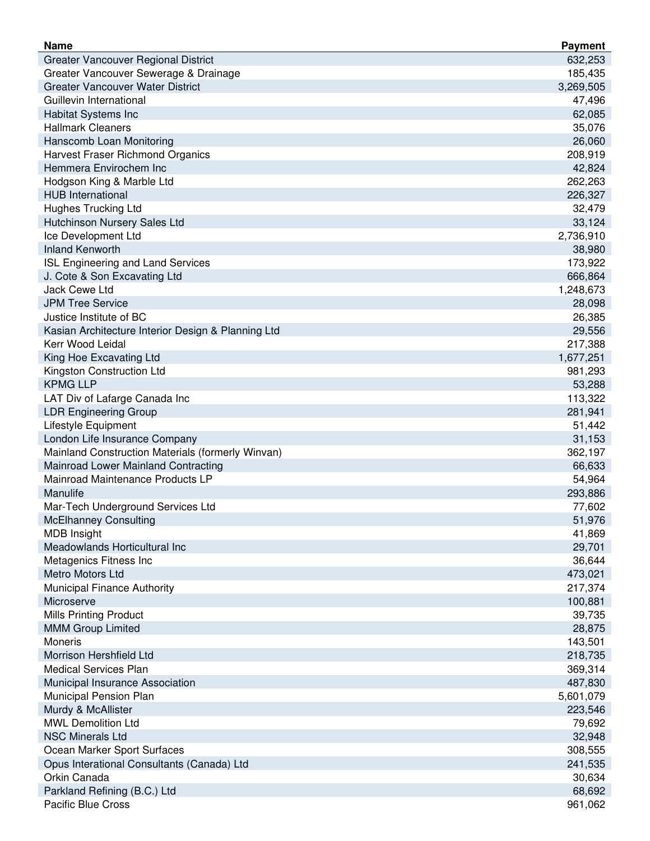| <b>Name</b>                                        | <b>Payment</b> |
|----------------------------------------------------|----------------|
| Greater Vancouver Regional District                | 632,253        |
| Greater Vancouver Sewerage & Drainage              | 185,435        |
| <b>Greater Vancouver Water District</b>            | 3,269,505      |
| Guillevin International                            | 47,496         |
| Habitat Systems Inc                                | 62,085         |
| <b>Hallmark Cleaners</b>                           | 35,076         |
| Hanscomb Loan Monitoring                           | 26,060         |
| Harvest Fraser Richmond Organics                   | 208,919        |
| Hemmera Envirochem Inc                             | 42,824         |
| Hodgson King & Marble Ltd                          | 262,263        |
| <b>HUB</b> International                           | 226,327        |
| <b>Hughes Trucking Ltd</b>                         | 32,479         |
| Hutchinson Nursery Sales Ltd                       | 33,124         |
| Ice Development Ltd                                | 2,736,910      |
| <b>Inland Kenworth</b>                             | 38,980         |
| ISL Engineering and Land Services                  | 173,922        |
| J. Cote & Son Excavating Ltd                       | 666,864        |
| Jack Cewe Ltd                                      | 1,248,673      |
| <b>JPM Tree Service</b>                            | 28,098         |
| Justice Institute of BC                            | 26,385         |
| Kasian Architecture Interior Design & Planning Ltd | 29,556         |
| Kerr Wood Leidal                                   | 217,388        |
| King Hoe Excavating Ltd                            | 1,677,251      |
| Kingston Construction Ltd                          | 981,293        |
| <b>KPMG LLP</b>                                    | 53,288         |
| LAT Div of Lafarge Canada Inc                      | 113,322        |
| <b>LDR Engineering Group</b>                       | 281,941        |
| Lifestyle Equipment                                | 51,442         |
| London Life Insurance Company                      | 31,153         |
| Mainland Construction Materials (formerly Winvan)  | 362,197        |
| Mainroad Lower Mainland Contracting                | 66,633         |
| Mainroad Maintenance Products LP                   | 54,964         |
| Manulife                                           | 293,886        |
| Mar-Tech Underground Services Ltd                  | 77,602         |
| <b>McElhanney Consulting</b>                       | 51,976         |
| <b>MDB</b> Insight                                 | 41,869         |
| Meadowlands Horticultural Inc                      | 29,701         |
| Metagenics Fitness Inc                             | 36,644         |
| Metro Motors Ltd                                   | 473,021        |
| Municipal Finance Authority                        | 217,374        |
| Microserve                                         | 100,881        |
| <b>Mills Printing Product</b>                      | 39,735         |
| <b>MMM Group Limited</b>                           | 28,875         |
| Moneris                                            | 143,501        |
| Morrison Hershfield Ltd                            | 218,735        |
| <b>Medical Services Plan</b>                       | 369,314        |
| Municipal Insurance Association                    | 487,830        |
| Municipal Pension Plan                             | 5,601,079      |
| Murdy & McAllister                                 | 223,546        |
| <b>MWL Demolition Ltd</b>                          | 79,692         |
| <b>NSC Minerals Ltd</b>                            | 32,948         |
| Ocean Marker Sport Surfaces                        | 308,555        |
| Opus Interational Consultants (Canada) Ltd         | 241,535        |
| Orkin Canada                                       | 30,634         |
| Parkland Refining (B.C.) Ltd                       | 68,692         |
| <b>Pacific Blue Cross</b>                          | 961,062        |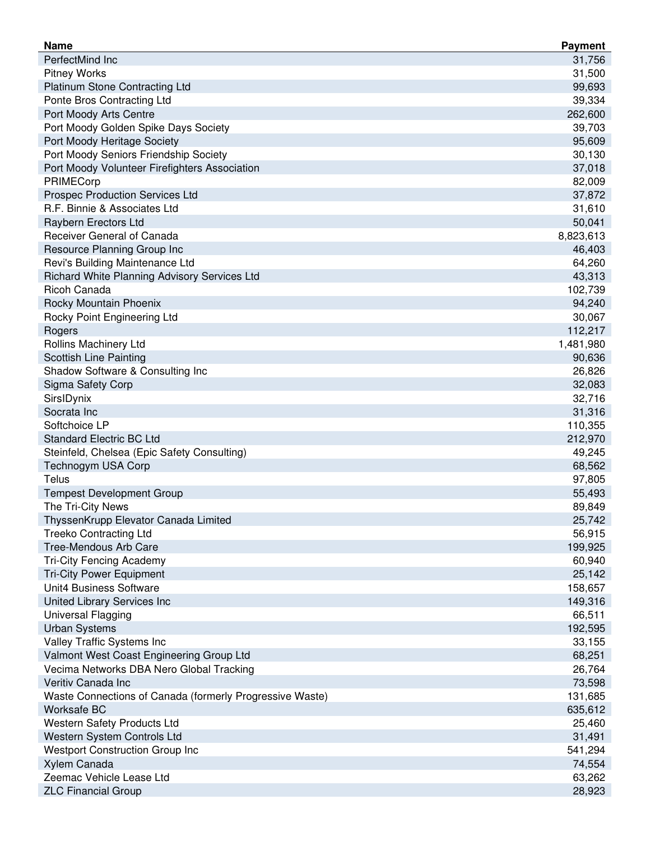| <b>Name</b>                                              | <b>Payment</b> |
|----------------------------------------------------------|----------------|
| PerfectMind Inc                                          | 31,756         |
| <b>Pitney Works</b>                                      | 31,500         |
| <b>Platinum Stone Contracting Ltd</b>                    | 99,693         |
| Ponte Bros Contracting Ltd                               | 39,334         |
| Port Moody Arts Centre                                   | 262,600        |
| Port Moody Golden Spike Days Society                     | 39,703         |
| Port Moody Heritage Society                              | 95,609         |
| Port Moody Seniors Friendship Society                    | 30,130         |
| Port Moody Volunteer Firefighters Association            | 37,018         |
| PRIMECorp                                                | 82,009         |
| Prospec Production Services Ltd                          | 37,872         |
| R.F. Binnie & Associates Ltd                             | 31,610         |
| Raybern Erectors Ltd                                     | 50,041         |
| Receiver General of Canada                               | 8,823,613      |
| Resource Planning Group Inc                              | 46,403         |
| Revi's Building Maintenance Ltd                          | 64,260         |
| Richard White Planning Advisory Services Ltd             | 43,313         |
| Ricoh Canada                                             | 102,739        |
| Rocky Mountain Phoenix                                   | 94,240         |
| Rocky Point Engineering Ltd                              | 30,067         |
| Rogers                                                   | 112,217        |
| Rollins Machinery Ltd                                    | 1,481,980      |
| <b>Scottish Line Painting</b>                            | 90,636         |
| Shadow Software & Consulting Inc                         | 26,826         |
| Sigma Safety Corp                                        | 32,083         |
| SirsIDynix                                               | 32,716         |
| Socrata Inc                                              | 31,316         |
| Softchoice LP                                            | 110,355        |
| <b>Standard Electric BC Ltd</b>                          | 212,970        |
| Steinfeld, Chelsea (Epic Safety Consulting)              | 49,245         |
| Technogym USA Corp                                       | 68,562         |
| Telus                                                    | 97,805         |
| <b>Tempest Development Group</b>                         | 55,493         |
| The Tri-City News                                        | 89,849         |
| ThyssenKrupp Elevator Canada Limited                     | 25,742         |
| <b>Treeko Contracting Ltd</b>                            | 56,915         |
| Tree-Mendous Arb Care                                    | 199,925        |
| <b>Tri-City Fencing Academy</b>                          | 60,940         |
| <b>Tri-City Power Equipment</b>                          | 25,142         |
| Unit4 Business Software                                  | 158,657        |
| United Library Services Inc                              | 149,316        |
| Universal Flagging                                       | 66,511         |
| <b>Urban Systems</b>                                     | 192,595        |
| Valley Traffic Systems Inc                               | 33,155         |
| Valmont West Coast Engineering Group Ltd                 | 68,251         |
| Vecima Networks DBA Nero Global Tracking                 | 26,764         |
| Veritiv Canada Inc                                       | 73,598         |
| Waste Connections of Canada (formerly Progressive Waste) | 131,685        |
| <b>Worksafe BC</b>                                       | 635,612        |
| Western Safety Products Ltd                              | 25,460         |
| Western System Controls Ltd                              | 31,491         |
| <b>Westport Construction Group Inc</b>                   | 541,294        |
| Xylem Canada                                             | 74,554         |
| Zeemac Vehicle Lease Ltd                                 | 63,262         |
| <b>ZLC Financial Group</b>                               |                |
|                                                          | 28,923         |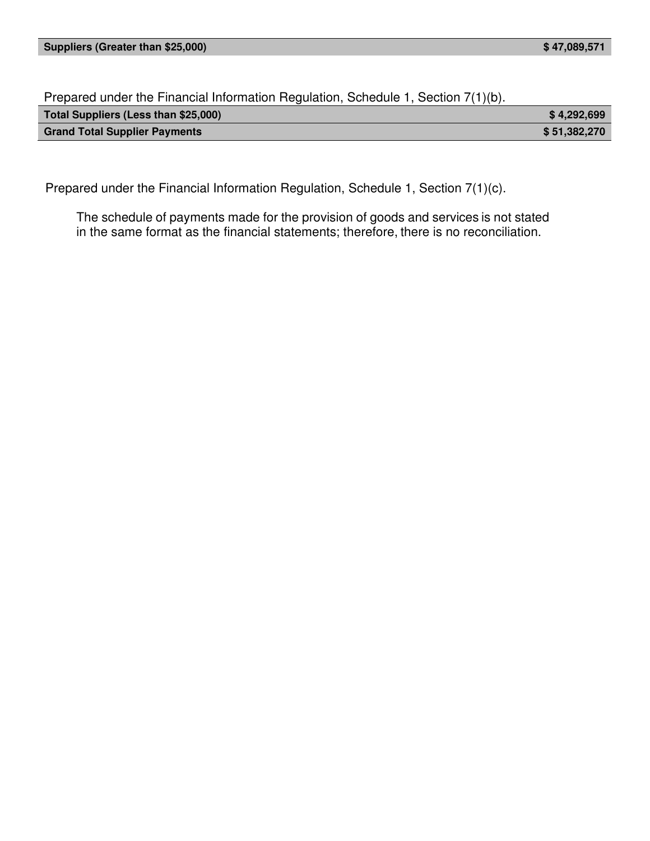Prepared under the Financial Information Regulation, Schedule 1, Section 7(1)(b).

| Total Suppliers (Less than \$25,000) | \$4.292.699  |
|--------------------------------------|--------------|
| <b>Grand Total Supplier Payments</b> | \$51,382,270 |

Prepared under the Financial Information Regulation, Schedule 1, Section 7(1)(c).

The schedule of payments made for the provision of goods and services is not stated in the same format as the financial statements; therefore, there is no reconciliation.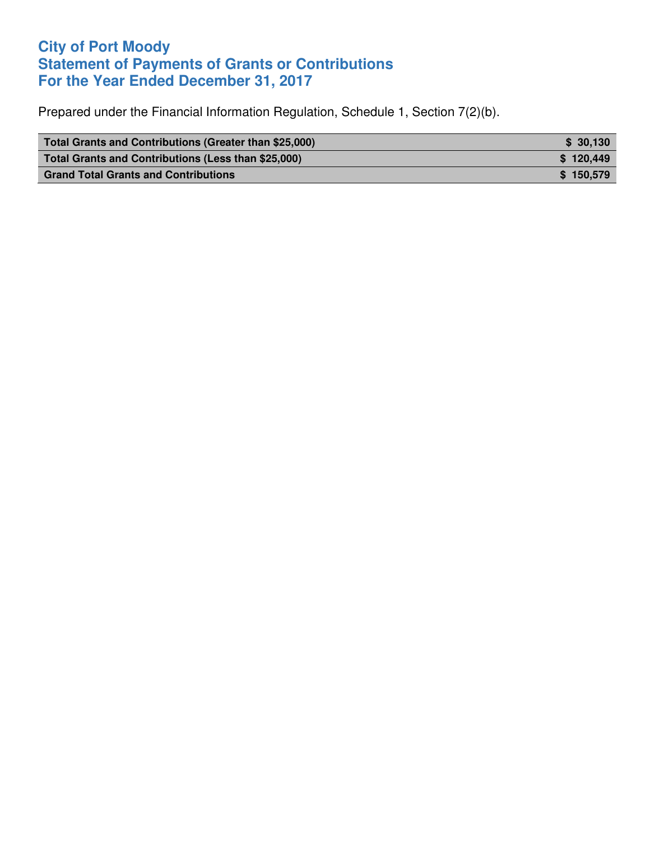### **City of Port Moody Statement of Payments of Grants or Contributions For the Year Ended December 31, 2017**

Prepared under the Financial Information Regulation, Schedule 1, Section 7(2)(b).

| Total Grants and Contributions (Greater than \$25,000) | \$ 30.130 |
|--------------------------------------------------------|-----------|
| Total Grants and Contributions (Less than \$25,000)    | \$120,449 |
| <b>Grand Total Grants and Contributions</b>            | \$150.579 |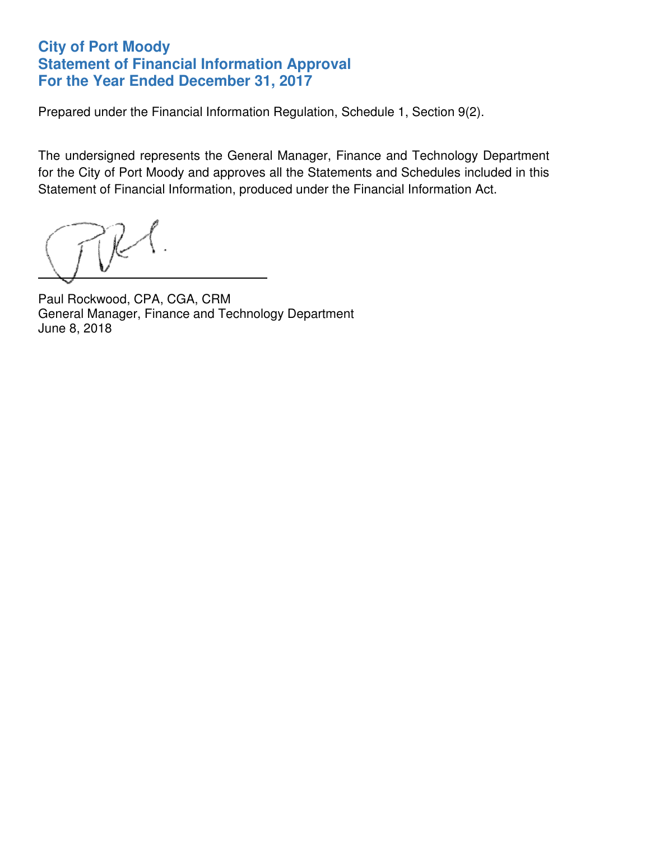#### **City of Port Moody Statement of Financial Information Approval For the Year Ended December 31, 2017**

Prepared under the Financial Information Regulation, Schedule 1, Section 9(2).

The undersigned represents the General Manager, Finance and Technology Department for the City of Port Moody and approves all the Statements and Schedules included in this Statement of Financial Information, produced under the Financial Information Act.

 $\overline{a}$ 

Paul Rockwood, CPA, CGA, CRM General Manager, Finance and Technology Department June 8, 2018